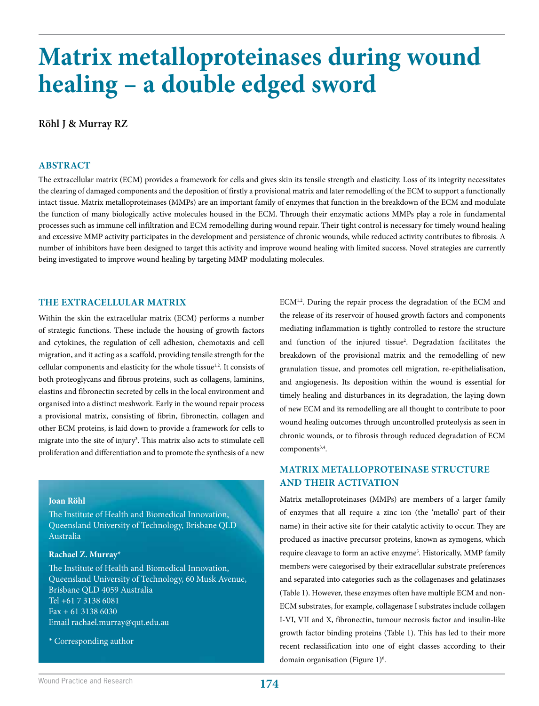# **Matrix metalloproteinases during wound healing – a double edged sword**

# **Röhl J & Murray RZ**

#### **ABSTRACT**

The extracellular matrix (ECM) provides a framework for cells and gives skin its tensile strength and elasticity. Loss of its integrity necessitates the clearing of damaged components and the deposition of firstly a provisional matrix and later remodelling of the ECM to support a functionally intact tissue. Matrix metalloproteinases (MMPs) are an important family of enzymes that function in the breakdown of the ECM and modulate the function of many biologically active molecules housed in the ECM. Through their enzymatic actions MMPs play a role in fundamental processes such as immune cell infiltration and ECM remodelling during wound repair. Their tight control is necessary for timely wound healing and excessive MMP activity participates in the development and persistence of chronic wounds, while reduced activity contributes to fibrosis. A number of inhibitors have been designed to target this activity and improve wound healing with limited success. Novel strategies are currently being investigated to improve wound healing by targeting MMP modulating molecules.

## **THE EXTRACELLULAR MATRIX**

Within the skin the extracellular matrix (ECM) performs a number of strategic functions. These include the housing of growth factors and cytokines, the regulation of cell adhesion, chemotaxis and cell migration, and it acting as a scaffold, providing tensile strength for the cellular components and elasticity for the whole tissue<sup>1,2</sup>. It consists of both proteoglycans and fibrous proteins, such as collagens, laminins, elastins and fibronectin secreted by cells in the local environment and organised into a distinct meshwork. Early in the wound repair process a provisional matrix, consisting of fibrin, fibronectin, collagen and other ECM proteins, is laid down to provide a framework for cells to migrate into the site of injury<sup>3</sup>. This matrix also acts to stimulate cell proliferation and differentiation and to promote the synthesis of a new

#### **Joan Röhl**

The Institute of Health and Biomedical Innovation, Queensland University of Technology, Brisbane QLD Australia

#### **Rachael Z. Murray\***

The Institute of Health and Biomedical Innovation, Queensland University of Technology, 60 Musk Avenue, Brisbane QLD 4059 Australia Tel +61 7 3138 6081 Fax + 61 3138 6030 Email rachael.murray@qut.edu.au

\* Corresponding author

ECM<sup>1,2</sup>. During the repair process the degradation of the ECM and the release of its reservoir of housed growth factors and components mediating inflammation is tightly controlled to restore the structure and function of the injured tissue<sup>2</sup>. Degradation facilitates the breakdown of the provisional matrix and the remodelling of new granulation tissue, and promotes cell migration, re-epithelialisation, and angiogenesis. Its deposition within the wound is essential for timely healing and disturbances in its degradation, the laying down of new ECM and its remodelling are all thought to contribute to poor wound healing outcomes through uncontrolled proteolysis as seen in chronic wounds, or to fibrosis through reduced degradation of ECM components<sup>3,4</sup>.

# **MATRIX METALLOPROTEINASE STRUCTURE AND THEIR ACTIVATION**

Matrix metalloproteinases (MMPs) are members of a larger family of enzymes that all require a zinc ion (the 'metallo' part of their name) in their active site for their catalytic activity to occur. They are produced as inactive precursor proteins, known as zymogens, which require cleavage to form an active enzyme<sup>5</sup>. Historically, MMP family members were categorised by their extracellular substrate preferences and separated into categories such as the collagenases and gelatinases (Table 1). However, these enzymes often have multiple ECM and non-ECM substrates, for example, collagenase I substrates include collagen I-VI, VII and X, fibronectin, tumour necrosis factor and insulin-like growth factor binding proteins (Table 1). This has led to their more recent reclassification into one of eight classes according to their domain organisation (Figure 1)<sup>6</sup>.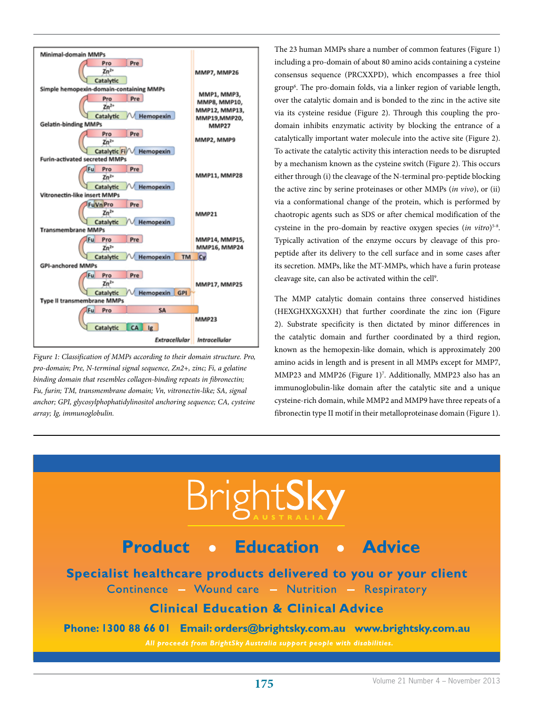

*Figure 1: Classification of MMPs according to their domain structure. Pro, pro-domain; Pre, N-terminal signal sequence, Zn2+, zinc; Fi, a gelatine binding domain that resembles collagen-binding repeats in fibronectin; Fu, furin; TM, transmembrane domain; Vn, vitronectin-like; SA, signal anchor; GPI, glycosylphophatidylinositol anchoring sequence; CA, cysteine array; Ig, immunoglobulin.*

WPR 80Hx 180W 2013 1019 BSA SVCS SEPT OL.pdf 1 19/09/2013 1019/2013 1019/2013 1019

The 23 human MMPs share a number of common features (Figure 1) including a pro-domain of about 80 amino acids containing a cysteine consensus sequence (PRCXXPD), which encompasses a free thiol group6 . The pro-domain folds, via a linker region of variable length, over the catalytic domain and is bonded to the zinc in the active site via its cysteine residue (Figure 2). Through this coupling the prodomain inhibits enzymatic activity by blocking the entrance of a catalytically important water molecule into the active site (Figure 2). To activate the catalytic activity this interaction needs to be disrupted by a mechanism known as the cysteine switch (Figure 2). This occurs either through (i) the cleavage of the N-terminal pro-peptide blocking the active zinc by serine proteinases or other MMPs (*in vivo*), or (ii) via a conformational change of the protein, which is performed by chaotropic agents such as SDS or after chemical modification of the cysteine in the pro-domain by reactive oxygen species (*in vitro*)<sup>5-8</sup>. Typically activation of the enzyme occurs by cleavage of this propeptide after its delivery to the cell surface and in some cases after its secretion. MMPs, like the MT-MMPs, which have a furin protease cleavage site, can also be activated within the cell<sup>9</sup>.

The MMP catalytic domain contains three conserved histidines (HEXGHXXGXXH) that further coordinate the zinc ion (Figure 2). Substrate specificity is then dictated by minor differences in the catalytic domain and further coordinated by a third region, known as the hemopexin-like domain, which is approximately 200 amino acids in length and is present in all MMPs except for MMP7, MMP23 and MMP26 (Figure 1)<sup>7</sup>. Additionally, MMP23 also has an immunoglobulin-like domain after the catalytic site and a unique cysteine-rich domain, while MMP2 and MMP9 have three repeats of a fibronectin type II motif in their metalloproteinase domain (Figure 1).

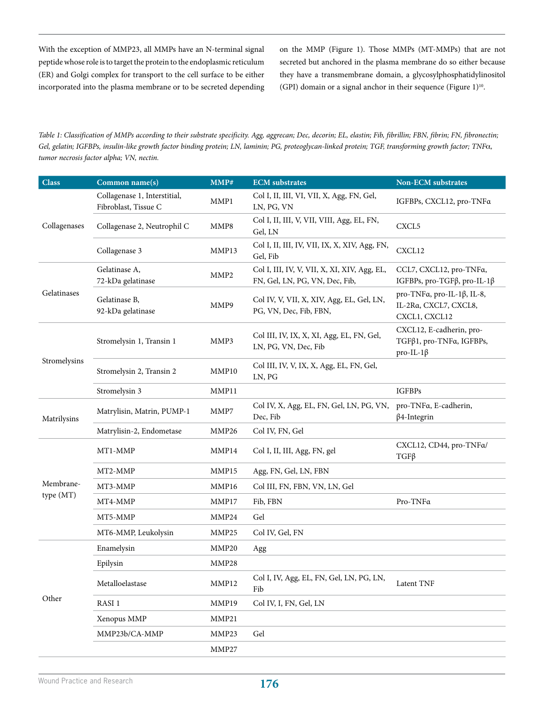With the exception of MMP23, all MMPs have an N-terminal signal peptide whose role is to target the protein to the endoplasmic reticulum (ER) and Golgi complex for transport to the cell surface to be either incorporated into the plasma membrane or to be secreted depending on the MMP (Figure 1). Those MMPs (MT-MMPs) that are not secreted but anchored in the plasma membrane do so either because they have a transmembrane domain, a glycosylphosphatidylinositol (GPI) domain or a signal anchor in their sequence (Figure  $1)^{10}$ .

*Table 1: Classification of MMPs according to their substrate specificity. Agg, aggrecan; Dec, decorin; EL, elastin; Fib, fibrillin; FBN, fibrin; FN, fibronectin; Gel, gelatin; IGFBPs, insulin-like growth factor binding protein; LN, laminin; PG, proteoglycan-linked protein; TGF, transforming growth factor; TNF*a*, tumor necrosis factor alpha; VN, nectin.*

| <b>Class</b>           | Common name(s)                                       | MMP#              | <b>ECM</b> substrates                                                          | Non-ECM substrates                                                      |
|------------------------|------------------------------------------------------|-------------------|--------------------------------------------------------------------------------|-------------------------------------------------------------------------|
| Collagenases           | Collagenase 1, Interstitial,<br>Fibroblast, Tissue C | MMP1              | Col I, II, III, VI, VII, X, Agg, FN, Gel,<br>LN, PG, VN                        | IGFBPs, CXCL12, pro-TNFa                                                |
|                        | Collagenase 2, Neutrophil C                          | MMP8              | Col I, II, III, V, VII, VIII, Agg, EL, FN,<br>Gel, LN                          | CXCL <sub>5</sub>                                                       |
|                        | Collagenase 3                                        | MMP13             | Col I, II, III, IV, VII, IX, X, XIV, Agg, FN,<br>Gel, Fib                      | CXCL12                                                                  |
| Gelatinases            | Gelatinase A,<br>72-kDa gelatinase                   | MMP2              | Col I, III, IV, V, VII, X, XI, XIV, Agg, EL,<br>FN, Gel, LN, PG, VN, Dec, Fib, | CCL7, CXCL12, pro-TNFa,<br>IGFBPs, pro-TGFβ, pro-IL-1β                  |
|                        | Gelatinase B,<br>92-kDa gelatinase                   | MMP9              | Col IV, V, VII, X, XIV, Agg, EL, Gel, LN,<br>PG, VN, Dec, Fib, FBN,            | pro-TNFα, pro-IL-1β, IL-8,<br>IL-2Ra, CXCL7, CXCL8,<br>CXCL1, CXCL12    |
| Stromelysins           | Stromelysin 1, Transin 1                             | MMP3              | Col III, IV, IX, X, XI, Agg, EL, FN, Gel,<br>LN, PG, VN, Dec, Fib              | CXCL12, E-cadherin, pro-<br>TGFβ1, pro-TNFα, IGFBPs,<br>$pro-IL-1\beta$ |
|                        | Stromelysin 2, Transin 2                             | MMP10             | Col III, IV, V, IX, X, Agg, EL, FN, Gel,<br>LN, PG                             |                                                                         |
|                        | Stromelysin 3                                        | MMP11             |                                                                                | <b>IGFBPs</b>                                                           |
| Matrilysins            | Matrylisin, Matrin, PUMP-1                           | MMP7              | Col IV, X, Agg, EL, FN, Gel, LN, PG, VN,<br>Dec, Fib                           | pro-TNFa, E-cadherin,<br>$\beta$ 4-Integrin                             |
|                        | Matrylisin-2, Endometase                             | MMP26             | Col IV, FN, Gel                                                                |                                                                         |
|                        | MT1-MMP                                              | MMP14             | Col I, II, III, Agg, FN, gel                                                   | CXCL12, CD44, pro-TNFa/<br>$TGF\beta$                                   |
|                        | MT2-MMP                                              | MMP15             | Agg, FN, Gel, LN, FBN                                                          |                                                                         |
| Membrane-<br>type (MT) | MT3-MMP                                              | MMP16             | Col III, FN, FBN, VN, LN, Gel                                                  |                                                                         |
|                        | MT4-MMP                                              | MMP17             | Fib, FBN                                                                       | Pro-TNFa                                                                |
|                        | MT5-MMP                                              | MMP <sub>24</sub> | Gel                                                                            |                                                                         |
|                        | MT6-MMP, Leukolysin                                  | MMP25             | Col IV, Gel, FN                                                                |                                                                         |
| Other                  | Enamelysin                                           | MMP20             | Agg                                                                            |                                                                         |
|                        | Epilysin                                             | MMP28             |                                                                                |                                                                         |
|                        | Metalloelastase                                      | MMP12             | Col I, IV, Agg, EL, FN, Gel, LN, PG, LN,<br>Fib                                | Latent TNF                                                              |
|                        | RASI <sub>1</sub>                                    | MMP19             | Col IV, I, FN, Gel, LN                                                         |                                                                         |
|                        | Xenopus MMP                                          | MMP21             |                                                                                |                                                                         |
|                        | MMP23b/CA-MMP                                        | MMP23             | Gel                                                                            |                                                                         |
|                        |                                                      | MMP27             |                                                                                |                                                                         |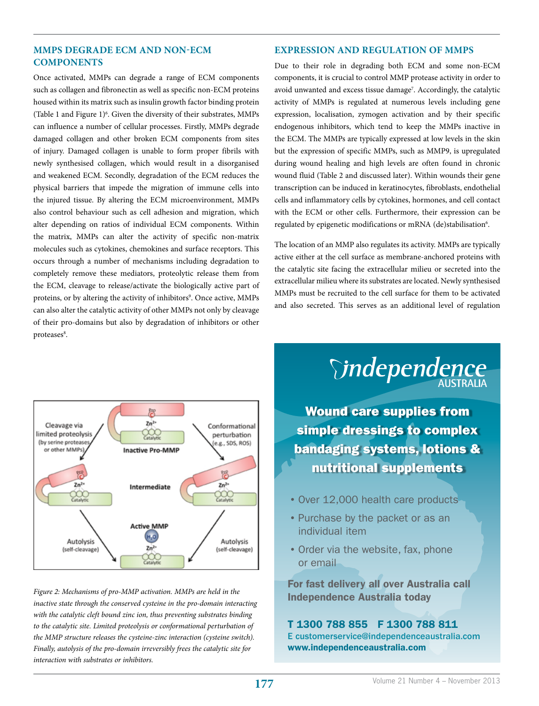# **MMPS DEGRADE ECM AND NON-ECM COMPONENTS**

Once activated, MMPs can degrade a range of ECM components such as collagen and fibronectin as well as specific non-ECM proteins housed within its matrix such as insulin growth factor binding protein (Table 1 and Figure  $1)^6$ . Given the diversity of their substrates, MMPs can influence a number of cellular processes. Firstly, MMPs degrade damaged collagen and other broken ECM components from sites of injury. Damaged collagen is unable to form proper fibrils with newly synthesised collagen, which would result in a disorganised and weakened ECM. Secondly, degradation of the ECM reduces the physical barriers that impede the migration of immune cells into the injured tissue. By altering the ECM microenvironment, MMPs also control behaviour such as cell adhesion and migration, which alter depending on ratios of individual ECM components. Within the matrix, MMPs can alter the activity of specific non-matrix molecules such as cytokines, chemokines and surface receptors. This occurs through a number of mechanisms including degradation to completely remove these mediators, proteolytic release them from the ECM, cleavage to release/activate the biologically active part of proteins, or by altering the activity of inhibitors<sup>9</sup>. Once active, MMPs can also alter the catalytic activity of other MMPs not only by cleavage of their pro-domains but also by degradation of inhibitors or other proteases<sup>8</sup>.



*Figure 2: Mechanisms of pro-MMP activation. MMPs are held in the inactive state through the conserved cysteine in the pro-domain interacting with the catalytic cleft bound zinc ion, thus preventing substrates binding to the catalytic site. Limited proteolysis or conformational perturbation of the MMP structure releases the cysteine-zinc interaction (cysteine switch). Finally, autolysis of the pro-domain irreversibly frees the catalytic site for interaction with substrates or inhibitors.*

## **EXPRESSION AND REGULATION OF MMPS**

Due to their role in degrading both ECM and some non-ECM components, it is crucial to control MMP protease activity in order to avoid unwanted and excess tissue damage<sup>7</sup>. Accordingly, the catalytic activity of MMPs is regulated at numerous levels including gene expression, localisation, zymogen activation and by their specific endogenous inhibitors, which tend to keep the MMPs inactive in the ECM. The MMPs are typically expressed at low levels in the skin but the expression of specific MMPs, such as MMP9, is upregulated during wound healing and high levels are often found in chronic wound fluid (Table 2 and discussed later). Within wounds their gene transcription can be induced in keratinocytes, fibroblasts, endothelial cells and inflammatory cells by cytokines, hormones, and cell contact with the ECM or other cells. Furthermore, their expression can be regulated by epigenetic modifications or mRNA (de)stabilisation<sup>6</sup>.

The location of an MMP also regulates its activity. MMPs are typically active either at the cell surface as membrane-anchored proteins with the catalytic site facing the extracellular milieu or secreted into the extracellular milieu where its substrates are located. Newly synthesised MMPs must be recruited to the cell surface for them to be activated and also secreted. This serves as an additional level of regulation



nutritional supplements

- •Over 12,000 health care products
- •Purchase by the packet or as an individual item
- •Order via the website, fax, phone or email

For fast delivery all over Australia call Independence Australia today

## T 1300 788 855 F 1300 788 811 E customerservice@independenceaustralia.com www.independenceaustralia.com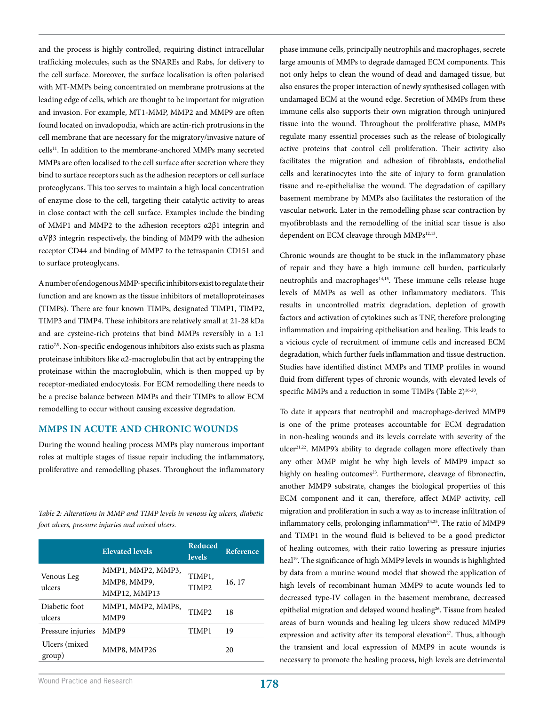and the process is highly controlled, requiring distinct intracellular trafficking molecules, such as the SNAREs and Rabs, for delivery to the cell surface. Moreover, the surface localisation is often polarised with MT-MMPs being concentrated on membrane protrusions at the leading edge of cells, which are thought to be important for migration and invasion. For example, MT1-MMP, MMP2 and MMP9 are often found located on invadopodia, which are actin-rich protrusions in the cell membrane that are necessary for the migratory/invasive nature of cells11. In addition to the membrane-anchored MMPs many secreted MMPs are often localised to the cell surface after secretion where they bind to surface receptors such as the adhesion receptors or cell surface proteoglycans. This too serves to maintain a high local concentration of enzyme close to the cell, targeting their catalytic activity to areas in close contact with the cell surface. Examples include the binding of MMP1 and MMP2 to the adhesion receptors α2β1 integrin and αVβ3 integrin respectively, the binding of MMP9 with the adhesion receptor CD44 and binding of MMP7 to the tetraspanin CD151 and to surface proteoglycans.

A number of endogenous MMP-specific inhibitors exist to regulate their function and are known as the tissue inhibitors of metalloproteinases (TIMPs). There are four known TIMPs, designated TIMP1, TIMP2, TIMP3 and TIMP4. These inhibitors are relatively small at 21-28 kDa and are cysteine-rich proteins that bind MMPs reversibly in a 1:1 ratio7,9. Non-specific endogenous inhibitors also exists such as plasma proteinase inhibitors like α2-macroglobulin that act by entrapping the proteinase within the macroglobulin, which is then mopped up by receptor-mediated endocytosis. For ECM remodelling there needs to be a precise balance between MMPs and their TIMPs to allow ECM remodelling to occur without causing excessive degradation.

## **MMPS IN ACUTE AND CHRONIC WOUNDS**

During the wound healing process MMPs play numerous important roles at multiple stages of tissue repair including the inflammatory, proliferative and remodelling phases. Throughout the inflammatory

*Table 2: Alterations in MMP and TIMP levels in venous leg ulcers, diabetic foot ulcers, pressure injuries and mixed ulcers.*

|                          | <b>Elevated levels</b>                           | <b>Reduced</b><br><b>levels</b> | Reference |
|--------------------------|--------------------------------------------------|---------------------------------|-----------|
| Venous Leg<br>ulcers     | MMP1, MMP2, MMP3,<br>MMP8, MMP9,<br>MMP12, MMP13 | TIMP1,<br>TIMP <sub>2</sub>     | 16, 17    |
| Diabetic foot<br>ulcers  | MMP1, MMP2, MMP8,<br>MMP9                        | TIMP <sub>2</sub>               | 18        |
| Pressure injuries        | MMP9                                             | TIMP1                           | 19        |
| Ulcers (mixed)<br>group) | MMP8, MMP26                                      |                                 | 20        |

phase immune cells, principally neutrophils and macrophages, secrete large amounts of MMPs to degrade damaged ECM components. This not only helps to clean the wound of dead and damaged tissue, but also ensures the proper interaction of newly synthesised collagen with undamaged ECM at the wound edge. Secretion of MMPs from these immune cells also supports their own migration through uninjured tissue into the wound. Throughout the proliferative phase, MMPs regulate many essential processes such as the release of biologically active proteins that control cell proliferation. Their activity also facilitates the migration and adhesion of fibroblasts, endothelial cells and keratinocytes into the site of injury to form granulation tissue and re-epithelialise the wound. The degradation of capillary basement membrane by MMPs also facilitates the restoration of the vascular network. Later in the remodelling phase scar contraction by myofibroblasts and the remodelling of the initial scar tissue is also dependent on ECM cleavage through MMPs<sup>12,13</sup>.

Chronic wounds are thought to be stuck in the inflammatory phase of repair and they have a high immune cell burden, particularly neutrophils and macrophages $14,15$ . These immune cells release huge levels of MMPs as well as other inflammatory mediators. This results in uncontrolled matrix degradation, depletion of growth factors and activation of cytokines such as TNF, therefore prolonging inflammation and impairing epithelisation and healing. This leads to a vicious cycle of recruitment of immune cells and increased ECM degradation, which further fuels inflammation and tissue destruction. Studies have identified distinct MMPs and TIMP profiles in wound fluid from different types of chronic wounds, with elevated levels of specific MMPs and a reduction in some TIMPs (Table 2)<sup>16-20</sup>.

To date it appears that neutrophil and macrophage-derived MMP9 is one of the prime proteases accountable for ECM degradation in non-healing wounds and its levels correlate with severity of the ulcer<sup>21,22</sup>. MMP9's ability to degrade collagen more effectively than any other MMP might be why high levels of MMP9 impact so highly on healing outcomes<sup>23</sup>. Furthermore, cleavage of fibronectin, another MMP9 substrate, changes the biological properties of this ECM component and it can, therefore, affect MMP activity, cell migration and proliferation in such a way as to increase infiltration of inflammatory cells, prolonging inflammation<sup>24,25</sup>. The ratio of MMP9 and TIMP1 in the wound fluid is believed to be a good predictor of healing outcomes, with their ratio lowering as pressure injuries heal<sup>19</sup>. The significance of high MMP9 levels in wounds is highlighted by data from a murine wound model that showed the application of high levels of recombinant human MMP9 to acute wounds led to decreased type-IV collagen in the basement membrane, decreased epithelial migration and delayed wound healing<sup>26</sup>. Tissue from healed areas of burn wounds and healing leg ulcers show reduced MMP9 expression and activity after its temporal elevation<sup>27</sup>. Thus, although the transient and local expression of MMP9 in acute wounds is necessary to promote the healing process, high levels are detrimental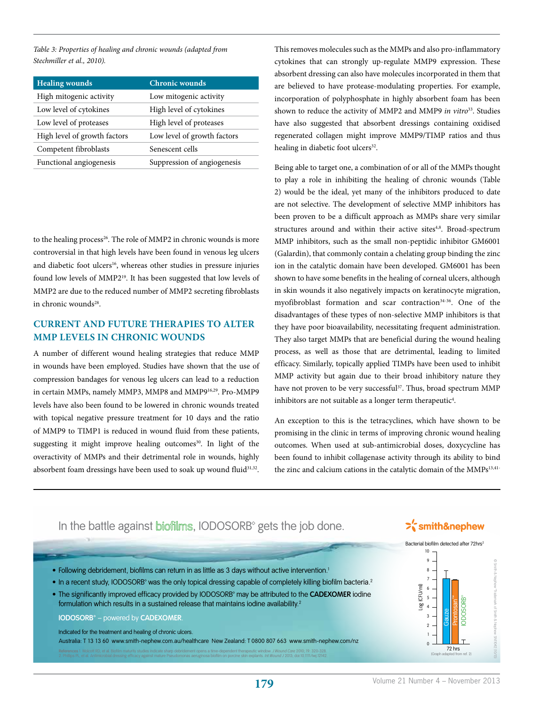*Table 3: Properties of healing and chronic wounds (adapted from Stechmiller et al., 2010).*

| <b>Healing wounds</b>        | <b>Chronic wounds</b>       |  |
|------------------------------|-----------------------------|--|
| High mitogenic activity      | Low mitogenic activity      |  |
| Low level of cytokines       | High level of cytokines     |  |
| Low level of proteases       | High level of proteases     |  |
| High level of growth factors | Low level of growth factors |  |
| Competent fibroblasts        | Senescent cells             |  |
| Functional angiogenesis      | Suppression of angiogenesis |  |

to the healing process<sup>26</sup>. The role of MMP2 in chronic wounds is more controversial in that high levels have been found in venous leg ulcers and diabetic foot ulcers<sup>16</sup>, whereas other studies in pressure injuries found low levels of MMP219. It has been suggested that low levels of MMP2 are due to the reduced number of MMP2 secreting fibroblasts in chronic wounds<sup>28</sup>.

# **CURRENT AND FUTURE THERAPIES TO ALTER MMP LEVELS IN CHRONIC WOUNDS**

A number of different wound healing strategies that reduce MMP in wounds have been employed. Studies have shown that the use of compression bandages for venous leg ulcers can lead to a reduction in certain MMPs, namely MMP3, MMP8 and MMP916,29. Pro-MMP9 levels have also been found to be lowered in chronic wounds treated with topical negative pressure treatment for 10 days and the ratio of MMP9 to TIMP1 is reduced in wound fluid from these patients, suggesting it might improve healing outcomes<sup>30</sup>. In light of the overactivity of MMPs and their detrimental role in wounds, highly absorbent foam dressings have been used to soak up wound fluid<sup>31,32</sup>.

This removes molecules such as the MMPs and also pro-inflammatory cytokines that can strongly up-regulate MMP9 expression. These absorbent dressing can also have molecules incorporated in them that are believed to have protease-modulating properties. For example, incorporation of polyphosphate in highly absorbent foam has been shown to reduce the activity of MMP2 and MMP9 *in vitro<sup>33</sup>*. Studies have also suggested that absorbent dressings containing oxidised regenerated collagen might improve MMP9/TIMP ratios and thus healing in diabetic foot ulcers<sup>32</sup>.

Being able to target one, a combination of or all of the MMPs thought to play a role in inhibiting the healing of chronic wounds (Table 2) would be the ideal, yet many of the inhibitors produced to date are not selective. The development of selective MMP inhibitors has been proven to be a difficult approach as MMPs share very similar structures around and within their active sites<sup>4,8</sup>. Broad-spectrum MMP inhibitors, such as the small non-peptidic inhibitor GM6001 (Galardin), that commonly contain a chelating group binding the zinc ion in the catalytic domain have been developed. GM6001 has been shown to have some benefits in the healing of corneal ulcers, although in skin wounds it also negatively impacts on keratinocyte migration, myofibroblast formation and scar contraction<sup>34-36</sup>. One of the disadvantages of these types of non-selective MMP inhibitors is that they have poor bioavailability, necessitating frequent administration. They also target MMPs that are beneficial during the wound healing process, as well as those that are detrimental, leading to limited efficacy. Similarly, topically applied TIMPs have been used to inhibit MMP activity but again due to their broad inhibitory nature they have not proven to be very successful<sup>37</sup>. Thus, broad spectrum MMP inhibitors are not suitable as a longer term therapeutic<sup>4</sup>.

An exception to this is the tetracyclines, which have shown to be promising in the clinic in terms of improving chronic wound healing outcomes. When used at sub-antimicrobial doses, doxycycline has been found to inhibit collagenase activity through its ability to bind the zinc and calcium cations in the catalytic domain of the MMPs<sup>13,41-</sup>

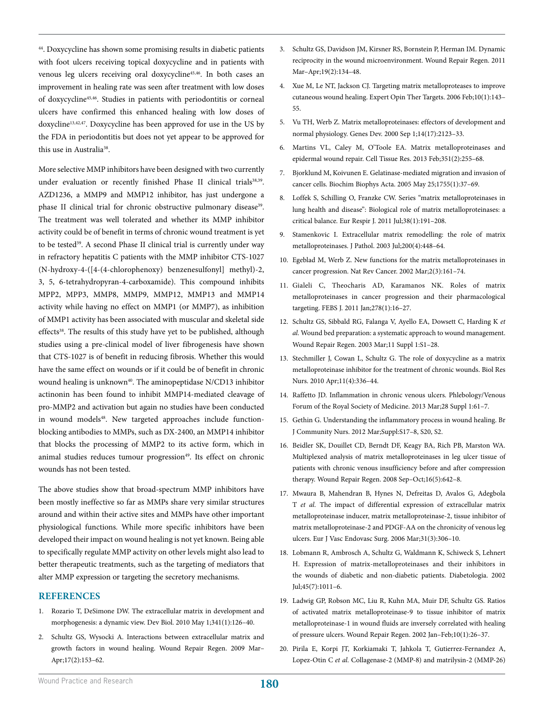44. Doxycycline has shown some promising results in diabetic patients with foot ulcers receiving topical doxycycline and in patients with venous leg ulcers receiving oral doxycycline<sup>45,46</sup>. In both cases an improvement in healing rate was seen after treatment with low doses of doxycycline45,46. Studies in patients with periodontitis or corneal ulcers have confirmed this enhanced healing with low doses of doxycline13,42,47. Doxycycline has been approved for use in the US by the FDA in periodontitis but does not yet appear to be approved for this use in Australia<sup>38</sup>.

More selective MMP inhibitors have been designed with two currently under evaluation or recently finished Phase II clinical trials<sup>38,39</sup>. AZD1236, a MMP9 and MMP12 inhibitor, has just undergone a phase II clinical trial for chronic obstructive pulmonary disease<sup>39</sup>. The treatment was well tolerated and whether its MMP inhibitor activity could be of benefit in terms of chronic wound treatment is yet to be tested<sup>39</sup>. A second Phase II clinical trial is currently under way in refractory hepatitis C patients with the MMP inhibitor CTS-1027 (N-hydroxy-4-([4-(4-chlorophenoxy) benzenesulfonyl] methyl)-2, 3, 5, 6-tetrahydropyran-4-carboxamide). This compound inhibits MPP2, MPP3, MMP8, MMP9, MMP12, MMP13 and MMP14 activity while having no effect on MMP1 (or MMP7), as inhibition of MMP1 activity has been associated with muscular and skeletal side effects<sup>38</sup>. The results of this study have yet to be published, although studies using a pre-clinical model of liver fibrogenesis have shown that CTS-1027 is of benefit in reducing fibrosis. Whether this would have the same effect on wounds or if it could be of benefit in chronic wound healing is unknown<sup>40</sup>. The aminopeptidase N/CD13 inhibitor actinonin has been found to inhibit MMP14-mediated cleavage of pro-MMP2 and activation but again no studies have been conducted in wound models<sup>48</sup>. New targeted approaches include functionblocking antibodies to MMPs, such as DX-2400, an MMP14 inhibitor that blocks the processing of MMP2 to its active form, which in animal studies reduces tumour progression<sup>49</sup>. Its effect on chronic wounds has not been tested.

The above studies show that broad-spectrum MMP inhibitors have been mostly ineffective so far as MMPs share very similar structures around and within their active sites and MMPs have other important physiological functions. While more specific inhibitors have been developed their impact on wound healing is not yet known. Being able to specifically regulate MMP activity on other levels might also lead to better therapeutic treatments, such as the targeting of mediators that alter MMP expression or targeting the secretory mechanisms.

#### **REFERENCES**

- 1. Rozario T, DeSimone DW. The extracellular matrix in development and morphogenesis: a dynamic view. Dev Biol. 2010 May 1;341(1):126–40.
- 2. Schultz GS, Wysocki A. Interactions between extracellular matrix and growth factors in wound healing. Wound Repair Regen. 2009 Mar– Apr;17(2):153–62.
- 3. Schultz GS, Davidson JM, Kirsner RS, Bornstein P, Herman IM. Dynamic reciprocity in the wound microenvironment. Wound Repair Regen. 2011 Mar–Apr;19(2):134–48.
- 4. Xue M, Le NT, Jackson CJ. Targeting matrix metalloproteases to improve cutaneous wound healing. Expert Opin Ther Targets. 2006 Feb;10(1):143– 55.
- 5. Vu TH, Werb Z. Matrix metalloproteinases: effectors of development and normal physiology. Genes Dev. 2000 Sep 1;14(17):2123–33.
- 6. Martins VL, Caley M, O'Toole EA. Matrix metalloproteinases and epidermal wound repair. Cell Tissue Res. 2013 Feb;351(2):255–68.
- 7. Bjorklund M, Koivunen E. Gelatinase-mediated migration and invasion of cancer cells. Biochim Biophys Acta. 2005 May 25;1755(1):37–69.
- 8. Loffek S, Schilling O, Franzke CW. Series "matrix metalloproteinases in lung health and disease": Biological role of matrix metalloproteinases: a critical balance. Eur Respir J. 2011 Jul;38(1):191–208.
- 9. Stamenkovic I. Extracellular matrix remodelling: the role of matrix metalloproteinases. J Pathol. 2003 Jul;200(4):448–64.
- 10. Egeblad M, Werb Z. New functions for the matrix metalloproteinases in cancer progression. Nat Rev Cancer. 2002 Mar;2(3):161–74.
- 11. Gialeli C, Theocharis AD, Karamanos NK. Roles of matrix metalloproteinases in cancer progression and their pharmacological targeting. FEBS J. 2011 Jan;278(1):16–27.
- 12. Schultz GS, Sibbald RG, Falanga V, Ayello EA, Dowsett C, Harding K *et al.* Wound bed preparation: a systematic approach to wound management. Wound Repair Regen. 2003 Mar;11 Suppl 1:S1–28.
- 13. Stechmiller J, Cowan L, Schultz G. The role of doxycycline as a matrix metalloproteinase inhibitor for the treatment of chronic wounds. Biol Res Nurs. 2010 Apr;11(4):336–44.
- 14. Raffetto JD. Inflammation in chronic venous ulcers. Phlebology/Venous Forum of the Royal Society of Medicine. 2013 Mar;28 Suppl 1:61–7.
- 15. Gethin G. Understanding the inflammatory process in wound healing. Br J Community Nurs. 2012 Mar;Suppl:S17–8, S20, S2.
- 16. Beidler SK, Douillet CD, Berndt DF, Keagy BA, Rich PB, Marston WA. Multiplexed analysis of matrix metalloproteinases in leg ulcer tissue of patients with chronic venous insufficiency before and after compression therapy. Wound Repair Regen. 2008 Sep–Oct;16(5):642–8.
- 17. Mwaura B, Mahendran B, Hynes N, Defreitas D, Avalos G, Adegbola T *et al.* The impact of differential expression of extracellular matrix metalloproteinase inducer, matrix metalloproteinase-2, tissue inhibitor of matrix metalloproteinase-2 and PDGF-AA on the chronicity of venous leg ulcers. Eur J Vasc Endovasc Surg. 2006 Mar;31(3):306–10.
- 18. Lobmann R, Ambrosch A, Schultz G, Waldmann K, Schiweck S, Lehnert H. Expression of matrix-metalloproteinases and their inhibitors in the wounds of diabetic and non-diabetic patients. Diabetologia. 2002 Jul;45(7):1011–6.
- 19. Ladwig GP, Robson MC, Liu R, Kuhn MA, Muir DF, Schultz GS. Ratios of activated matrix metalloproteinase-9 to tissue inhibitor of matrix metalloproteinase-1 in wound fluids are inversely correlated with healing of pressure ulcers. Wound Repair Regen. 2002 Jan–Feb;10(1):26–37.
- 20. Pirila E, Korpi JT, Korkiamaki T, Jahkola T, Gutierrez-Fernandez A, Lopez-Otin C *et al.* Collagenase-2 (MMP-8) and matrilysin-2 (MMP-26)